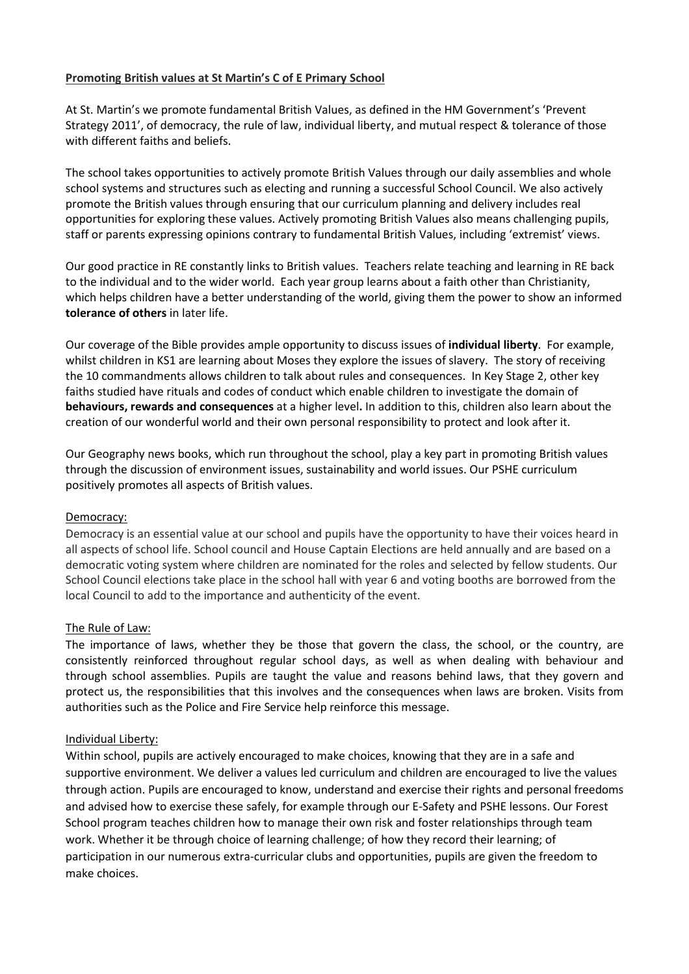## Promoting British values at St Martin's C of E Primary School

At St. Martin's we promote fundamental British Values, as defined in the HM Government's 'Prevent Strategy 2011', of democracy, the rule of law, individual liberty, and mutual respect & tolerance of those with different faiths and beliefs.

The school takes opportunities to actively promote British Values through our daily assemblies and whole school systems and structures such as electing and running a successful School Council. We also actively promote the British values through ensuring that our curriculum planning and delivery includes real opportunities for exploring these values. Actively promoting British Values also means challenging pupils, staff or parents expressing opinions contrary to fundamental British Values, including 'extremist' views.

Our good practice in RE constantly links to British values. Teachers relate teaching and learning in RE back to the individual and to the wider world. Each year group learns about a faith other than Christianity, which helps children have a better understanding of the world, giving them the power to show an informed tolerance of others in later life.

Our coverage of the Bible provides ample opportunity to discuss issues of individual liberty. For example, whilst children in KS1 are learning about Moses they explore the issues of slavery. The story of receiving the 10 commandments allows children to talk about rules and consequences. In Key Stage 2, other key faiths studied have rituals and codes of conduct which enable children to investigate the domain of behaviours, rewards and consequences at a higher level. In addition to this, children also learn about the creation of our wonderful world and their own personal responsibility to protect and look after it.

Our Geography news books, which run throughout the school, play a key part in promoting British values through the discussion of environment issues, sustainability and world issues. Our PSHE curriculum positively promotes all aspects of British values.

## Democracy:

Democracy is an essential value at our school and pupils have the opportunity to have their voices heard in all aspects of school life. School council and House Captain Elections are held annually and are based on a democratic voting system where children are nominated for the roles and selected by fellow students. Our School Council elections take place in the school hall with year 6 and voting booths are borrowed from the local Council to add to the importance and authenticity of the event.

## The Rule of Law:

The importance of laws, whether they be those that govern the class, the school, or the country, are consistently reinforced throughout regular school days, as well as when dealing with behaviour and through school assemblies. Pupils are taught the value and reasons behind laws, that they govern and protect us, the responsibilities that this involves and the consequences when laws are broken. Visits from authorities such as the Police and Fire Service help reinforce this message.

### Individual Liberty:

Within school, pupils are actively encouraged to make choices, knowing that they are in a safe and supportive environment. We deliver a values led curriculum and children are encouraged to live the values through action. Pupils are encouraged to know, understand and exercise their rights and personal freedoms and advised how to exercise these safely, for example through our E-Safety and PSHE lessons. Our Forest School program teaches children how to manage their own risk and foster relationships through team work. Whether it be through choice of learning challenge; of how they record their learning; of participation in our numerous extra-curricular clubs and opportunities, pupils are given the freedom to make choices.